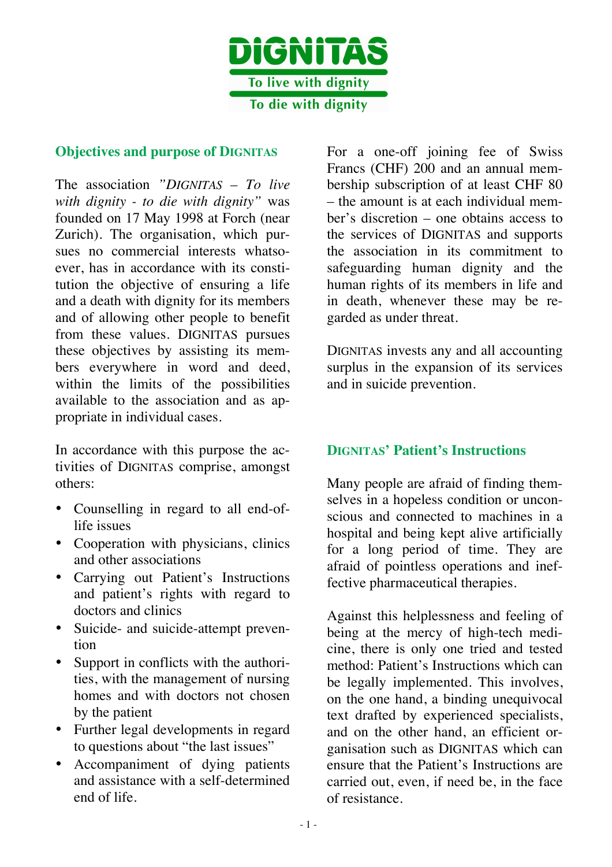

#### **Objectives and purpose of DIGNITAS**

The association *"DIGNITAS – To live with dignity - to die with dignity"* was founded on 17 May 1998 at Forch (near Zurich). The organisation, which pursues no commercial interests whatsoever, has in accordance with its constitution the objective of ensuring a life and a death with dignity for its members and of allowing other people to benefit from these values. DIGNITAS pursues these objectives by assisting its members everywhere in word and deed, within the limits of the possibilities available to the association and as appropriate in individual cases.

In accordance with this purpose the activities of DIGNITAS comprise, amongst others:

- Counselling in regard to all end-oflife issues
- Cooperation with physicians, clinics and other associations
- Carrying out Patient's Instructions and patient's rights with regard to doctors and clinics
- Suicide- and suicide-attempt prevention
- Support in conflicts with the authorities, with the management of nursing homes and with doctors not chosen by the patient
- Further legal developments in regard to questions about "the last issues"
- Accompaniment of dying patients and assistance with a self-determined end of life.

For a one-off joining fee of Swiss Francs (CHF) 200 and an annual membership subscription of at least CHF 80 – the amount is at each individual member's discretion – one obtains access to the services of DIGNITAS and supports the association in its commitment to safeguarding human dignity and the human rights of its members in life and in death, whenever these may be regarded as under threat.

DIGNITAS invests any and all accounting surplus in the expansion of its services and in suicide prevention.

#### **DIGNITAS' Patient's Instructions**

Many people are afraid of finding themselves in a hopeless condition or unconscious and connected to machines in a hospital and being kept alive artificially for a long period of time. They are afraid of pointless operations and ineffective pharmaceutical therapies.

Against this helplessness and feeling of being at the mercy of high-tech medicine, there is only one tried and tested method: Patient's Instructions which can be legally implemented. This involves, on the one hand, a binding unequivocal text drafted by experienced specialists, and on the other hand, an efficient organisation such as DIGNITAS which can ensure that the Patient's Instructions are carried out, even, if need be, in the face of resistance.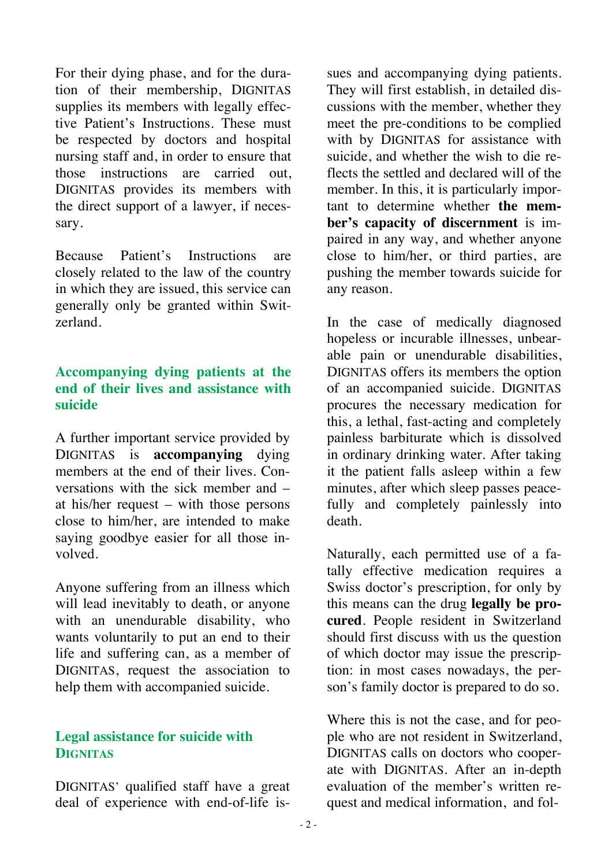For their dying phase, and for the duration of their membership, DIGNITAS supplies its members with legally effective Patient's Instructions. These must be respected by doctors and hospital nursing staff and, in order to ensure that those instructions are carried out, DIGNITAS provides its members with the direct support of a lawyer, if necessary.

Because Patient's Instructions are closely related to the law of the country in which they are issued, this service can generally only be granted within Switzerland.

#### **Accompanying dying patients at the end of their lives and assistance with suicide**

A further important service provided by DIGNITAS is **accompanying** dying members at the end of their lives. Conversations with the sick member and – at his/her request – with those persons close to him/her, are intended to make saying goodbye easier for all those involved.

Anyone suffering from an illness which will lead inevitably to death, or anyone with an unendurable disability, who wants voluntarily to put an end to their life and suffering can, as a member of DIGNITAS, request the association to help them with accompanied suicide.

## **Legal assistance for suicide with DIGNITAS**

DIGNITAS' qualified staff have a great deal of experience with end-of-life issues and accompanying dying patients. They will first establish, in detailed discussions with the member, whether they meet the pre-conditions to be complied with by DIGNITAS for assistance with suicide, and whether the wish to die reflects the settled and declared will of the member. In this, it is particularly important to determine whether **the member's capacity of discernment** is impaired in any way, and whether anyone close to him/her, or third parties, are pushing the member towards suicide for any reason.

In the case of medically diagnosed hopeless or incurable illnesses, unbearable pain or unendurable disabilities, DIGNITAS offers its members the option of an accompanied suicide. DIGNITAS procures the necessary medication for this, a lethal, fast-acting and completely painless barbiturate which is dissolved in ordinary drinking water. After taking it the patient falls asleep within a few minutes, after which sleep passes peacefully and completely painlessly into death.

Naturally, each permitted use of a fatally effective medication requires a Swiss doctor's prescription, for only by this means can the drug **legally be procured**. People resident in Switzerland should first discuss with us the question of which doctor may issue the prescription: in most cases nowadays, the person's family doctor is prepared to do so.

Where this is not the case, and for people who are not resident in Switzerland, DIGNITAS calls on doctors who cooperate with DIGNITAS. After an in-depth evaluation of the member's written request and medical information, and fol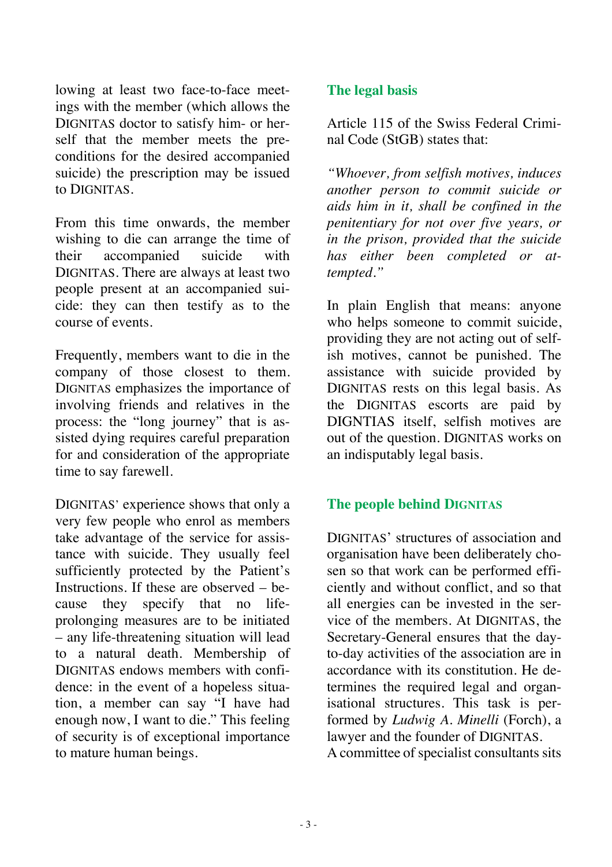lowing at least two face-to-face meetings with the member (which allows the DIGNITAS doctor to satisfy him- or herself that the member meets the preconditions for the desired accompanied suicide) the prescription may be issued to DIGNITAS.

From this time onwards, the member wishing to die can arrange the time of their accompanied suicide with DIGNITAS. There are always at least two people present at an accompanied suicide: they can then testify as to the course of events.

Frequently, members want to die in the company of those closest to them. DIGNITAS emphasizes the importance of involving friends and relatives in the process: the "long journey" that is assisted dying requires careful preparation for and consideration of the appropriate time to say farewell.

DIGNITAS' experience shows that only a very few people who enrol as members take advantage of the service for assistance with suicide. They usually feel sufficiently protected by the Patient's Instructions. If these are observed – because they specify that no lifeprolonging measures are to be initiated – any life-threatening situation will lead to a natural death. Membership of DIGNITAS endows members with confidence: in the event of a hopeless situation, a member can say "I have had enough now, I want to die." This feeling of security is of exceptional importance to mature human beings.

## **The legal basis**

Article 115 of the Swiss Federal Criminal Code (StGB) states that:

*"Whoever, from selfish motives, induces another person to commit suicide or aids him in it, shall be confined in the penitentiary for not over five years, or in the prison, provided that the suicide has either been completed or attempted."* 

In plain English that means: anyone who helps someone to commit suicide, providing they are not acting out of selfish motives, cannot be punished. The assistance with suicide provided by DIGNITAS rests on this legal basis. As the DIGNITAS escorts are paid by DIGNTIAS itself, selfish motives are out of the question. DIGNITAS works on an indisputably legal basis.

#### **The people behind DIGNITAS**

DIGNITAS' structures of association and organisation have been deliberately chosen so that work can be performed efficiently and without conflict, and so that all energies can be invested in the service of the members. At DIGNITAS, the Secretary-General ensures that the dayto-day activities of the association are in accordance with its constitution. He determines the required legal and organisational structures. This task is performed by *Ludwig A. Minelli* (Forch), a lawyer and the founder of DIGNITAS. A committee of specialist consultants sits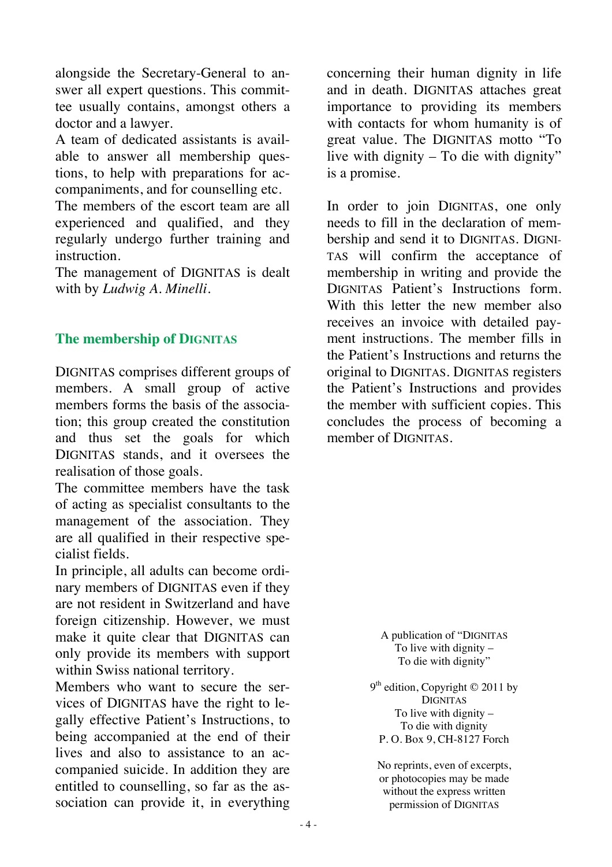alongside the Secretary-General to answer all expert questions. This committee usually contains, amongst others a doctor and a lawyer.

A team of dedicated assistants is available to answer all membership questions, to help with preparations for accompaniments, and for counselling etc.

The members of the escort team are all experienced and qualified, and they regularly undergo further training and instruction.

The management of DIGNITAS is dealt with by *Ludwig A. Minelli*.

#### **The membership of DIGNITAS**

DIGNITAS comprises different groups of members. A small group of active members forms the basis of the association; this group created the constitution and thus set the goals for which DIGNITAS stands, and it oversees the realisation of those goals.

The committee members have the task of acting as specialist consultants to the management of the association. They are all qualified in their respective specialist fields.

In principle, all adults can become ordinary members of DIGNITAS even if they are not resident in Switzerland and have foreign citizenship. However, we must make it quite clear that DIGNITAS can only provide its members with support within Swiss national territory.

Members who want to secure the services of DIGNITAS have the right to legally effective Patient's Instructions, to being accompanied at the end of their lives and also to assistance to an accompanied suicide. In addition they are entitled to counselling, so far as the association can provide it, in everything

concerning their human dignity in life and in death. DIGNITAS attaches great importance to providing its members with contacts for whom humanity is of great value. The DIGNITAS motto "To live with dignity – To die with dignity" is a promise.

In order to join DIGNITAS, one only needs to fill in the declaration of membership and send it to DIGNITAS. DIGNI-TAS will confirm the acceptance of membership in writing and provide the DIGNITAS Patient's Instructions form. With this letter the new member also receives an invoice with detailed payment instructions. The member fills in the Patient's Instructions and returns the original to DIGNITAS. DIGNITAS registers the Patient's Instructions and provides the member with sufficient copies. This concludes the process of becoming a member of DIGNITAS.

> A publication of "DIGNITAS To live with dignity – To die with dignity"

9<sup>th</sup> edition, Copyright © 2011 by DIGNITAS To live with dignity  $-$ To die with dignity P. O. Box 9, CH-8127 Forch

No reprints, even of excerpts, or photocopies may be made without the express written permission of DIGNITAS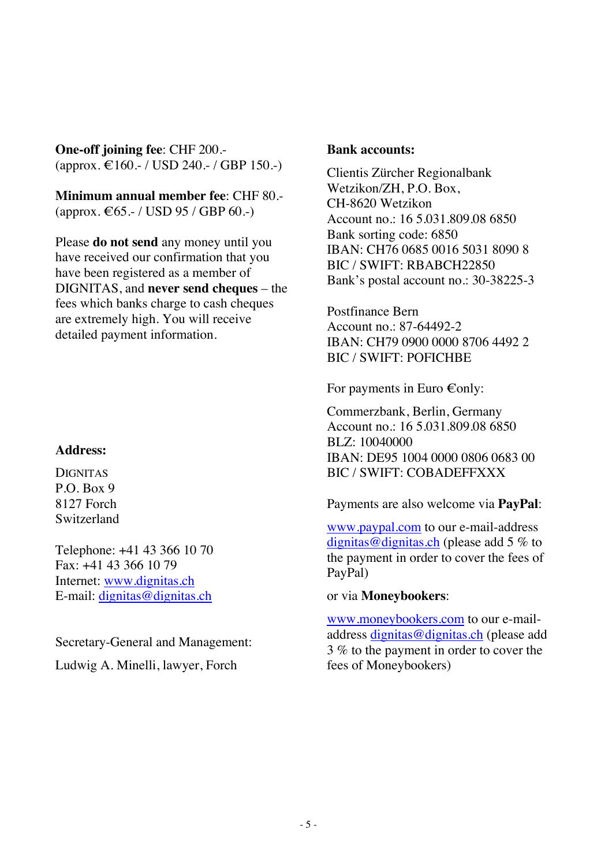**One-off joining fee**: CHF 200.- (approx. € 160.- / USD 240.- / GBP 150.-)

**Minimum annual member fee**: CHF 80.-  $(\text{approx.} \in 65. - / \text{USD} 95 / \text{GBP} 60. -)$ 

Please **do not send** any money until you have received our confirmation that you have been registered as a member of DIGNITAS, and **never send cheques** – the fees which banks charge to cash cheques are extremely high. You will receive detailed payment information.

#### **Address:**

**DIGNITAS** P.O. Box 9 8127 Forch Switzerland

Telephone: +41 43 366 10 70 Fax: +41 43 366 10 79 Internet: www.dignitas.ch E-mail: dignitas@dignitas.ch

Secretary-General and Management:

Ludwig A. Minelli, lawyer, Forch

#### **Bank accounts:**

Clientis Zürcher Regionalbank Wetzikon/ZH, P.O. Box, CH-8620 Wetzikon Account no.: 16 5.031.809.08 6850 Bank sorting code: 6850 IBAN: CH76 0685 0016 5031 8090 8 BIC / SWIFT: RBABCH22850 Bank's postal account no.: 30-38225-3

Postfinance Bern Account no.: 87-64492-2 IBAN: CH79 0900 0000 8706 4492 2 BIC / SWIFT: POFICHBE

For payments in Euro  $\epsilon$  only:

Commerzbank, Berlin, Germany Account no.: 16 5.031.809.08 6850 BLZ: 10040000 IBAN: DE95 1004 0000 0806 0683 00 BIC / SWIFT: COBADEFFXXX

Payments are also welcome via **PayPal**:

www.paypal.com to our e-mail-address dignitas@dignitas.ch (please add 5 % to the payment in order to cover the fees of PayPal)

or via **Moneybookers**:

www.moneybookers.com to our e-mailaddress dignitas@dignitas.ch (please add 3 % to the payment in order to cover the fees of Moneybookers)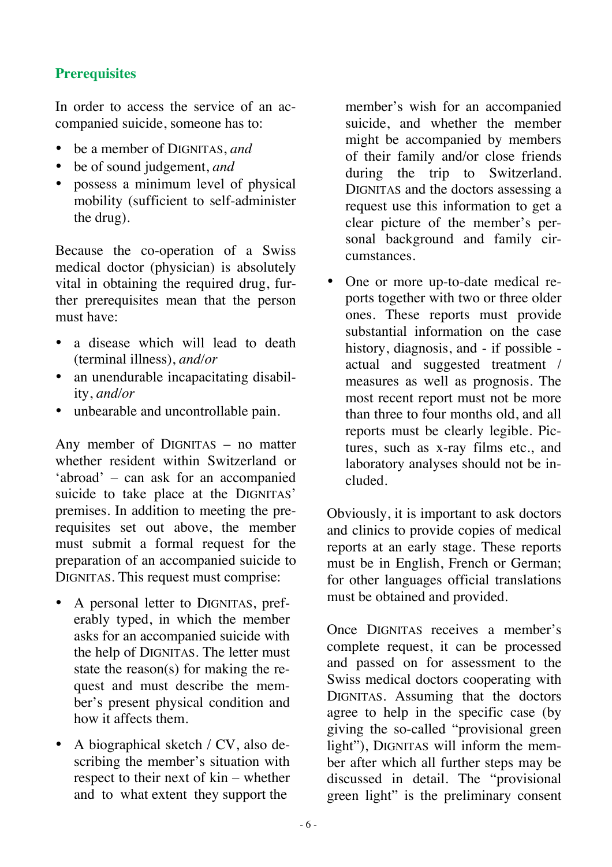## **Prerequisites**

In order to access the service of an accompanied suicide, someone has to:

- be a member of DIGNITAS, *and*
- be of sound judgement, *and*
- possess a minimum level of physical mobility (sufficient to self-administer the drug).

Because the co-operation of a Swiss medical doctor (physician) is absolutely vital in obtaining the required drug, further prerequisites mean that the person must have:

- a disease which will lead to death (terminal illness), *and/or*
- an unendurable incapacitating disability, *and/or*
- unbearable and uncontrollable pain.

Any member of DIGNITAS – no matter whether resident within Switzerland or 'abroad' – can ask for an accompanied suicide to take place at the DIGNITAS' premises. In addition to meeting the prerequisites set out above, the member must submit a formal request for the preparation of an accompanied suicide to DIGNITAS. This request must comprise:

- A personal letter to DIGNITAS, preferably typed, in which the member asks for an accompanied suicide with the help of DIGNITAS. The letter must state the reason(s) for making the request and must describe the member's present physical condition and how it affects them.
- A biographical sketch / CV, also describing the member's situation with respect to their next of kin – whether and to what extent they support the

member's wish for an accompanied suicide, and whether the member might be accompanied by members of their family and/or close friends during the trip to Switzerland. DIGNITAS and the doctors assessing a request use this information to get a clear picture of the member's personal background and family circumstances.

• One or more up-to-date medical reports together with two or three older ones. These reports must provide substantial information on the case history, diagnosis, and - if possible actual and suggested treatment / measures as well as prognosis. The most recent report must not be more than three to four months old, and all reports must be clearly legible. Pictures, such as x-ray films etc., and laboratory analyses should not be included.

Obviously, it is important to ask doctors and clinics to provide copies of medical reports at an early stage. These reports must be in English, French or German; for other languages official translations must be obtained and provided.

Once DIGNITAS receives a member's complete request, it can be processed and passed on for assessment to the Swiss medical doctors cooperating with DIGNITAS. Assuming that the doctors agree to help in the specific case (by giving the so-called "provisional green light"), DIGNITAS will inform the member after which all further steps may be discussed in detail. The "provisional green light" is the preliminary consent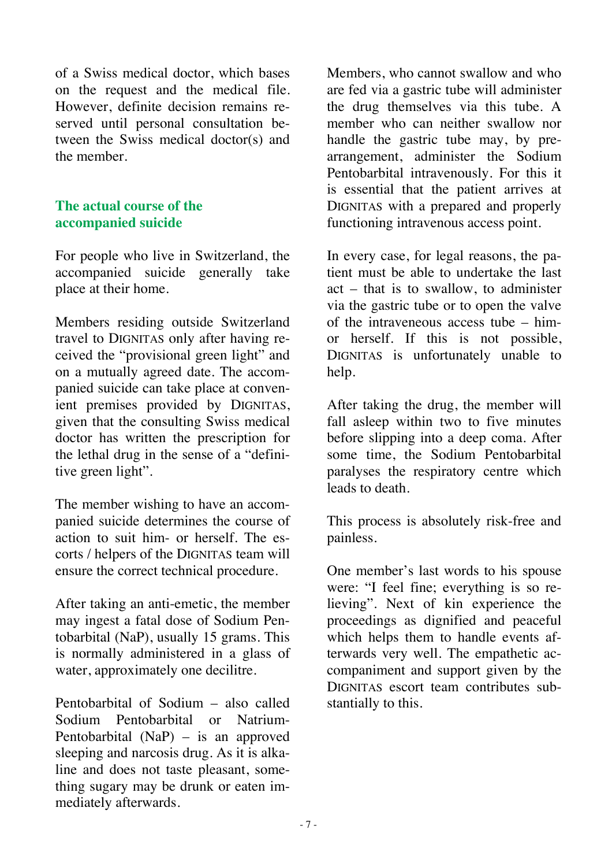of a Swiss medical doctor, which bases on the request and the medical file. However, definite decision remains reserved until personal consultation between the Swiss medical doctor(s) and the member.

#### **The actual course of the accompanied suicide**

For people who live in Switzerland, the accompanied suicide generally take place at their home.

Members residing outside Switzerland travel to DIGNITAS only after having received the "provisional green light" and on a mutually agreed date. The accompanied suicide can take place at convenient premises provided by DIGNITAS, given that the consulting Swiss medical doctor has written the prescription for the lethal drug in the sense of a "definitive green light".

The member wishing to have an accompanied suicide determines the course of action to suit him- or herself. The escorts / helpers of the DIGNITAS team will ensure the correct technical procedure.

After taking an anti-emetic, the member may ingest a fatal dose of Sodium Pentobarbital (NaP), usually 15 grams. This is normally administered in a glass of water, approximately one decilitre.

Pentobarbital of Sodium – also called Sodium Pentobarbital or Natrium-Pentobarbital (NaP) – is an approved sleeping and narcosis drug. As it is alkaline and does not taste pleasant, something sugary may be drunk or eaten immediately afterwards.

Members, who cannot swallow and who are fed via a gastric tube will administer the drug themselves via this tube. A member who can neither swallow nor handle the gastric tube may, by prearrangement, administer the Sodium Pentobarbital intravenously. For this it is essential that the patient arrives at DIGNITAS with a prepared and properly functioning intravenous access point.

In every case, for legal reasons, the patient must be able to undertake the last act – that is to swallow, to administer via the gastric tube or to open the valve of the intraveneous access tube – himor herself. If this is not possible, DIGNITAS is unfortunately unable to help.

After taking the drug, the member will fall asleep within two to five minutes before slipping into a deep coma. After some time, the Sodium Pentobarbital paralyses the respiratory centre which leads to death.

This process is absolutely risk-free and painless.

One member's last words to his spouse were: "I feel fine; everything is so relieving". Next of kin experience the proceedings as dignified and peaceful which helps them to handle events afterwards very well. The empathetic accompaniment and support given by the DIGNITAS escort team contributes substantially to this.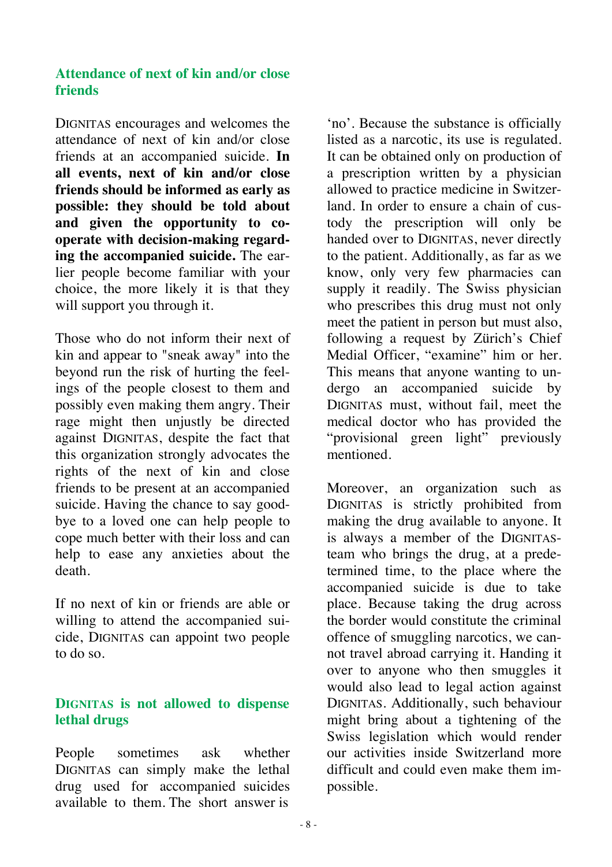#### **Attendance of next of kin and/or close friends**

DIGNITAS encourages and welcomes the attendance of next of kin and/or close friends at an accompanied suicide. **In all events, next of kin and/or close friends should be informed as early as possible: they should be told about and given the opportunity to cooperate with decision-making regarding the accompanied suicide.** The earlier people become familiar with your choice, the more likely it is that they will support you through it.

Those who do not inform their next of kin and appear to "sneak away" into the beyond run the risk of hurting the feelings of the people closest to them and possibly even making them angry. Their rage might then unjustly be directed against DIGNITAS, despite the fact that this organization strongly advocates the rights of the next of kin and close friends to be present at an accompanied suicide. Having the chance to say goodbye to a loved one can help people to cope much better with their loss and can help to ease any anxieties about the death.

If no next of kin or friends are able or willing to attend the accompanied suicide, DIGNITAS can appoint two people to do so.

#### **DIGNITAS is not allowed to dispense lethal drugs**

People sometimes ask whether DIGNITAS can simply make the lethal drug used for accompanied suicides available to them. The short answer is

'no'. Because the substance is officially listed as a narcotic, its use is regulated. It can be obtained only on production of a prescription written by a physician allowed to practice medicine in Switzerland. In order to ensure a chain of custody the prescription will only be handed over to DIGNITAS, never directly to the patient. Additionally, as far as we know, only very few pharmacies can supply it readily. The Swiss physician who prescribes this drug must not only meet the patient in person but must also, following a request by Zürich's Chief Medial Officer, "examine" him or her. This means that anyone wanting to undergo an accompanied suicide by DIGNITAS must, without fail, meet the medical doctor who has provided the "provisional green light" previously mentioned.

Moreover, an organization such as DIGNITAS is strictly prohibited from making the drug available to anyone. It is always a member of the DIGNITASteam who brings the drug, at a predetermined time, to the place where the accompanied suicide is due to take place. Because taking the drug across the border would constitute the criminal offence of smuggling narcotics, we cannot travel abroad carrying it. Handing it over to anyone who then smuggles it would also lead to legal action against DIGNITAS. Additionally, such behaviour might bring about a tightening of the Swiss legislation which would render our activities inside Switzerland more difficult and could even make them impossible.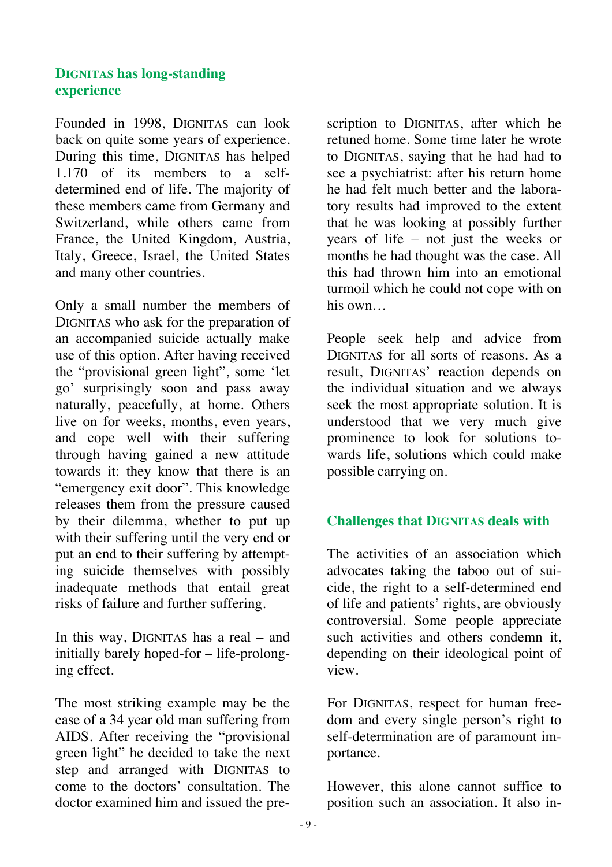## **DIGNITAS has long-standing experience**

Founded in 1998, DIGNITAS can look back on quite some years of experience. During this time, DIGNITAS has helped 1.170 of its members to a selfdetermined end of life. The majority of these members came from Germany and Switzerland, while others came from France, the United Kingdom, Austria, Italy, Greece, Israel, the United States and many other countries.

Only a small number the members of DIGNITAS who ask for the preparation of an accompanied suicide actually make use of this option. After having received the "provisional green light", some 'let go' surprisingly soon and pass away naturally, peacefully, at home. Others live on for weeks, months, even years, and cope well with their suffering through having gained a new attitude towards it: they know that there is an "emergency exit door". This knowledge releases them from the pressure caused by their dilemma, whether to put up with their suffering until the very end or put an end to their suffering by attempting suicide themselves with possibly inadequate methods that entail great risks of failure and further suffering.

In this way, DIGNITAS has a real – and initially barely hoped-for – life-prolonging effect.

The most striking example may be the case of a 34 year old man suffering from AIDS. After receiving the "provisional green light" he decided to take the next step and arranged with DIGNITAS to come to the doctors' consultation. The doctor examined him and issued the prescription to DIGNITAS, after which he retuned home. Some time later he wrote to DIGNITAS, saying that he had had to see a psychiatrist: after his return home he had felt much better and the laboratory results had improved to the extent that he was looking at possibly further years of life – not just the weeks or months he had thought was the case. All this had thrown him into an emotional turmoil which he could not cope with on his own…

People seek help and advice from DIGNITAS for all sorts of reasons. As a result, DIGNITAS' reaction depends on the individual situation and we always seek the most appropriate solution. It is understood that we very much give prominence to look for solutions towards life, solutions which could make possible carrying on.

#### **Challenges that DIGNITAS deals with**

The activities of an association which advocates taking the taboo out of suicide, the right to a self-determined end of life and patients' rights, are obviously controversial. Some people appreciate such activities and others condemn it, depending on their ideological point of view.

For DIGNITAS, respect for human freedom and every single person's right to self-determination are of paramount importance.

However, this alone cannot suffice to position such an association. It also in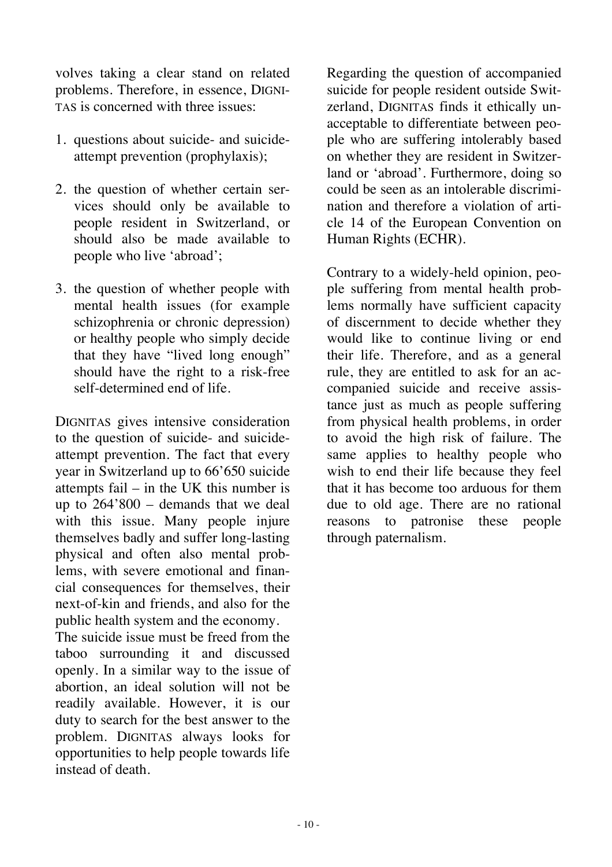volves taking a clear stand on related problems. Therefore, in essence, DIGNI-TAS is concerned with three issues:

- 1. questions about suicide- and suicideattempt prevention (prophylaxis);
- 2. the question of whether certain services should only be available to people resident in Switzerland, or should also be made available to people who live 'abroad';
- 3. the question of whether people with mental health issues (for example schizophrenia or chronic depression) or healthy people who simply decide that they have "lived long enough" should have the right to a risk-free self-determined end of life.

DIGNITAS gives intensive consideration to the question of suicide- and suicideattempt prevention. The fact that every year in Switzerland up to 66'650 suicide attempts fail – in the UK this number is up to 264'800 – demands that we deal with this issue. Many people injure themselves badly and suffer long-lasting physical and often also mental problems, with severe emotional and financial consequences for themselves, their next-of-kin and friends, and also for the public health system and the economy.

The suicide issue must be freed from the taboo surrounding it and discussed openly. In a similar way to the issue of abortion, an ideal solution will not be readily available. However, it is our duty to search for the best answer to the problem. DIGNITAS always looks for opportunities to help people towards life instead of death.

Regarding the question of accompanied suicide for people resident outside Switzerland, DIGNITAS finds it ethically unacceptable to differentiate between people who are suffering intolerably based on whether they are resident in Switzerland or 'abroad'. Furthermore, doing so could be seen as an intolerable discrimination and therefore a violation of article 14 of the European Convention on Human Rights (ECHR).

Contrary to a widely-held opinion, people suffering from mental health problems normally have sufficient capacity of discernment to decide whether they would like to continue living or end their life. Therefore, and as a general rule, they are entitled to ask for an accompanied suicide and receive assistance just as much as people suffering from physical health problems, in order to avoid the high risk of failure. The same applies to healthy people who wish to end their life because they feel that it has become too arduous for them due to old age. There are no rational reasons to patronise these people through paternalism.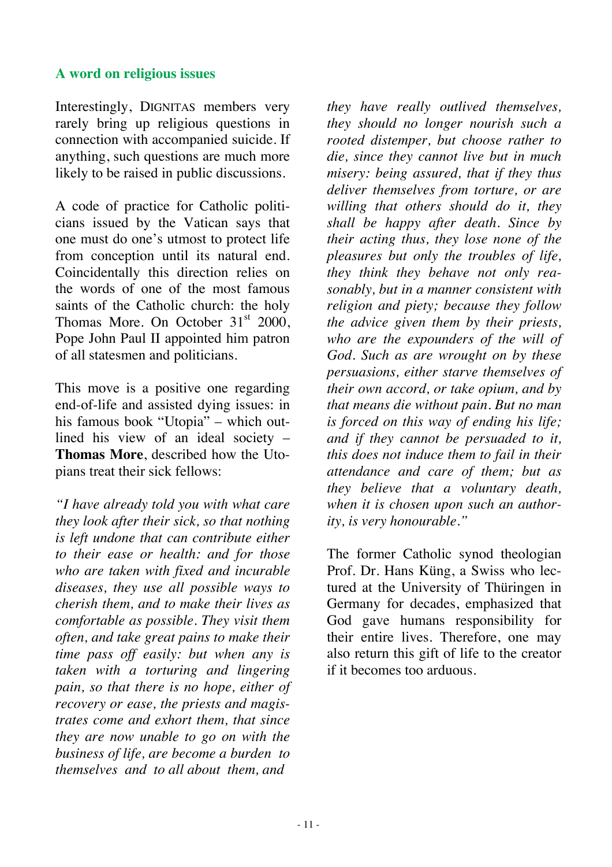#### **A word on religious issues**

Interestingly, DIGNITAS members very rarely bring up religious questions in connection with accompanied suicide. If anything, such questions are much more likely to be raised in public discussions.

A code of practice for Catholic politicians issued by the Vatican says that one must do one's utmost to protect life from conception until its natural end. Coincidentally this direction relies on the words of one of the most famous saints of the Catholic church: the holy Thomas More. On October  $31<sup>st</sup>$  2000. Pope John Paul II appointed him patron of all statesmen and politicians.

This move is a positive one regarding end-of-life and assisted dying issues: in his famous book "Utopia" – which outlined his view of an ideal society – **Thomas More**, described how the Utopians treat their sick fellows:

*"I have already told you with what care they look after their sick, so that nothing is left undone that can contribute either to their ease or health: and for those who are taken with fixed and incurable diseases, they use all possible ways to cherish them, and to make their lives as comfortable as possible. They visit them often, and take great pains to make their time pass off easily: but when any is taken with a torturing and lingering pain, so that there is no hope, either of recovery or ease, the priests and magistrates come and exhort them, that since they are now unable to go on with the business of life, are become a burden to themselves and to all about them, and* 

*they have really outlived themselves, they should no longer nourish such a rooted distemper, but choose rather to die, since they cannot live but in much misery: being assured, that if they thus deliver themselves from torture, or are willing that others should do it, they shall be happy after death. Since by their acting thus, they lose none of the pleasures but only the troubles of life, they think they behave not only reasonably, but in a manner consistent with religion and piety; because they follow the advice given them by their priests, who are the expounders of the will of God. Such as are wrought on by these persuasions, either starve themselves of their own accord, or take opium, and by that means die without pain. But no man is forced on this way of ending his life; and if they cannot be persuaded to it, this does not induce them to fail in their attendance and care of them; but as they believe that a voluntary death, when it is chosen upon such an authority, is very honourable."* 

The former Catholic synod theologian Prof. Dr. Hans Küng, a Swiss who lectured at the University of Thüringen in Germany for decades, emphasized that God gave humans responsibility for their entire lives. Therefore, one may also return this gift of life to the creator if it becomes too arduous.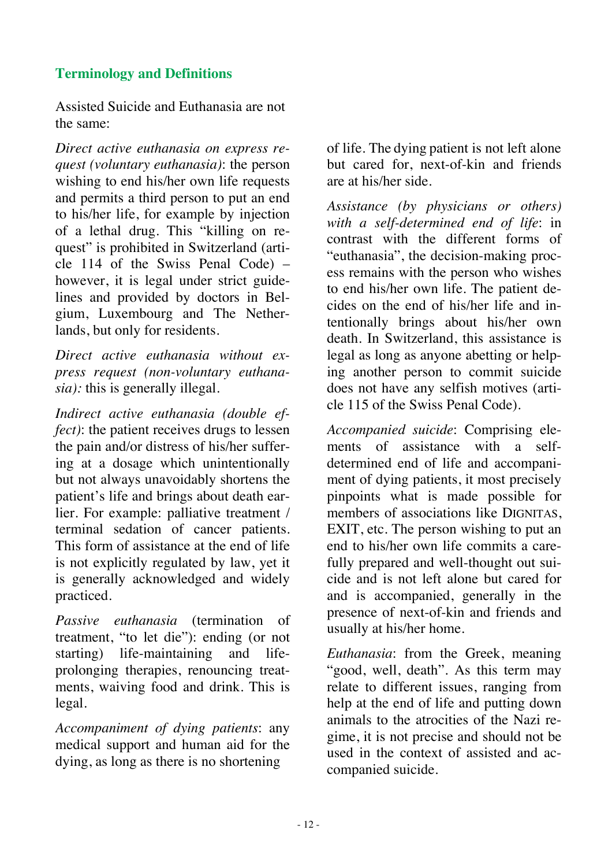## **Terminology and Definitions**

Assisted Suicide and Euthanasia are not the same:

*Direct active euthanasia on express request (voluntary euthanasia)*: the person wishing to end his/her own life requests and permits a third person to put an end to his/her life, for example by injection of a lethal drug. This "killing on request" is prohibited in Switzerland (article 114 of the Swiss Penal Code) – however, it is legal under strict guidelines and provided by doctors in Belgium, Luxembourg and The Netherlands, but only for residents.

*Direct active euthanasia without express request (non-voluntary euthanasia):* this is generally illegal.

*Indirect active euthanasia (double effect)*: the patient receives drugs to lessen the pain and/or distress of his/her suffering at a dosage which unintentionally but not always unavoidably shortens the patient's life and brings about death earlier. For example: palliative treatment / terminal sedation of cancer patients. This form of assistance at the end of life is not explicitly regulated by law, yet it is generally acknowledged and widely practiced.

*Passive euthanasia* (termination of treatment, "to let die"): ending (or not starting) life-maintaining and lifeprolonging therapies, renouncing treatments, waiving food and drink. This is legal.

*Accompaniment of dying patients*: any medical support and human aid for the dying, as long as there is no shortening

of life. The dying patient is not left alone but cared for, next-of-kin and friends are at his/her side.

*Assistance (by physicians or others) with a self-determined end of life*: in contrast with the different forms of "euthanasia", the decision-making process remains with the person who wishes to end his/her own life. The patient decides on the end of his/her life and intentionally brings about his/her own death. In Switzerland, this assistance is legal as long as anyone abetting or helping another person to commit suicide does not have any selfish motives (article 115 of the Swiss Penal Code).

*Accompanied suicide*: Comprising elements of assistance with a selfdetermined end of life and accompaniment of dying patients, it most precisely pinpoints what is made possible for members of associations like DIGNITAS, EXIT, etc. The person wishing to put an end to his/her own life commits a carefully prepared and well-thought out suicide and is not left alone but cared for and is accompanied, generally in the presence of next-of-kin and friends and usually at his/her home.

*Euthanasia*: from the Greek, meaning "good, well, death". As this term may relate to different issues, ranging from help at the end of life and putting down animals to the atrocities of the Nazi regime, it is not precise and should not be used in the context of assisted and accompanied suicide.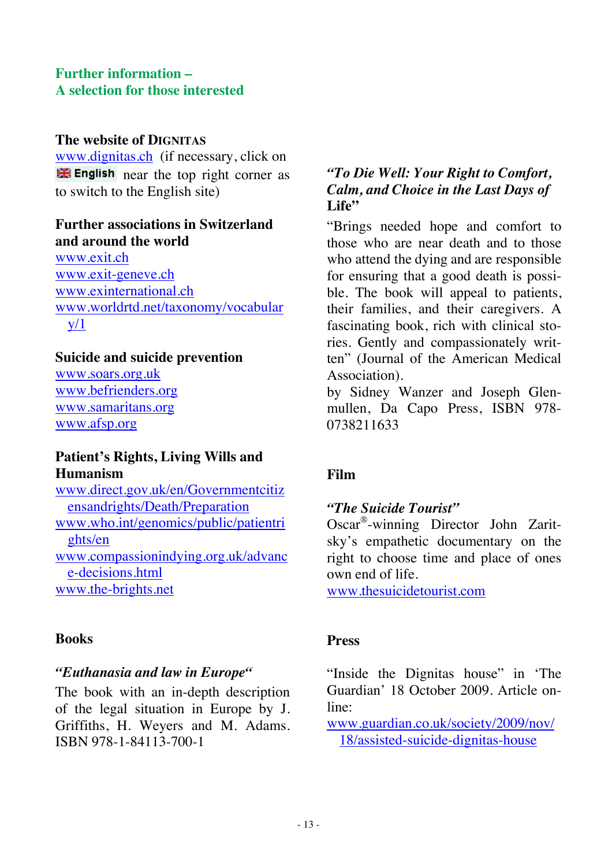#### **Further information – A selection for those interested**

#### **The website of DIGNITAS**

www.dignitas.ch (if necessary, click on  $\frac{1}{\sqrt{2}}$  English near the top right corner as to switch to the English site)

#### **Further associations in Switzerland and around the world**

www.exit.ch www.exit-geneve.ch www.exinternational.ch www.worldrtd.net/taxonomy/vocabular  $y/1$ 

#### **Suicide and suicide prevention**

www.soars.org.uk www.befrienders.org www.samaritans.org www.afsp.org

#### **Patient's Rights, Living Wills and Humanism**

www.direct.gov.uk/en/Governmentcitiz ensandrights/Death/Preparation www.who.int/genomics/public/patientri ghts/en www.compassionindying.org.uk/advanc e-decisions.html www.the-brights.net

#### **Books**

#### *"Euthanasia and law in Europe"*

The book with an in-depth description of the legal situation in Europe by J. Griffiths, H. Weyers and M. Adams. ISBN 978-1-84113-700-1

## *"To Die Well: Your Right to Comfort, Calm, and Choice in the Last Days of*  Life"

"Brings needed hope and comfort to those who are near death and to those who attend the dying and are responsible for ensuring that a good death is possible. The book will appeal to patients, their families, and their caregivers. A fascinating book, rich with clinical stories. Gently and compassionately written" (Journal of the American Medical Association).

by Sidney Wanzer and Joseph Glenmullen, Da Capo Press, ISBN 978- 0738211633

## **Film**

#### *"The Suicide Tourist"*

Oscar®-winning Director John Zaritsky's empathetic documentary on the right to choose time and place of ones own end of life.

www.thesuicidetourist.com

#### **Press**

"Inside the Dignitas house" in 'The Guardian' 18 October 2009. Article online:

www.guardian.co.uk/society/2009/nov/ 18/assisted-suicide-dignitas-house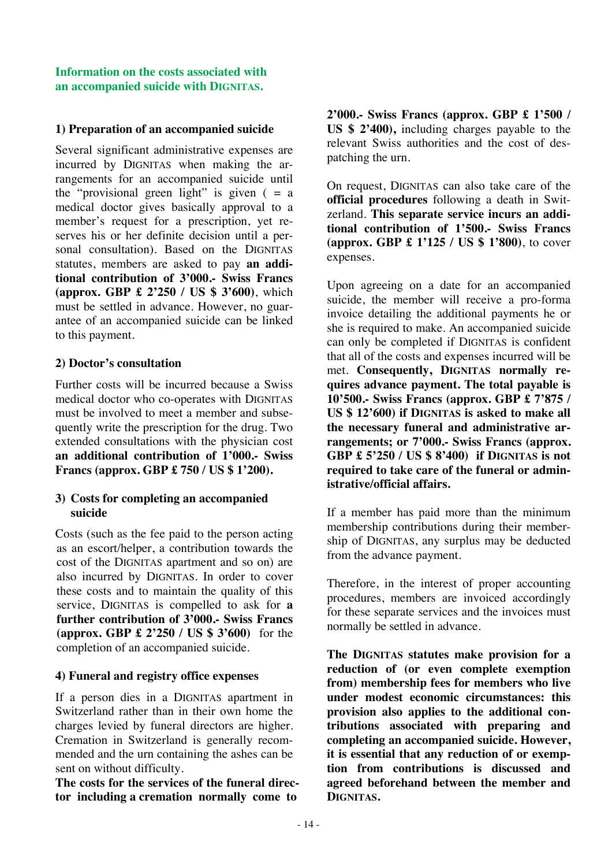#### **Information on the costs associated with an accompanied suicide with DIGNITAS.**

#### **1) Preparation of an accompanied suicide**

Several significant administrative expenses are incurred by DIGNITAS when making the arrangements for an accompanied suicide until the "provisional green light" is given  $( = a$ medical doctor gives basically approval to a member's request for a prescription, yet reserves his or her definite decision until a personal consultation). Based on the DIGNITAS statutes, members are asked to pay **an additional contribution of 3'000.- Swiss Francs (approx. GBP £ 2'250 / US \$ 3'600)**, which must be settled in advance. However, no guarantee of an accompanied suicide can be linked to this payment.

#### **2) Doctor's consultation**

Further costs will be incurred because a Swiss medical doctor who co-operates with DIGNITAS must be involved to meet a member and subsequently write the prescription for the drug. Two extended consultations with the physician cost **an additional contribution of 1'000.- Swiss Francs (approx. GBP £ 750 / US \$ 1'200).** 

#### **3) Costs for completing an accompanied suicide**

Costs (such as the fee paid to the person acting as an escort/helper, a contribution towards the cost of the DIGNITAS apartment and so on) are also incurred by DIGNITAS. In order to cover these costs and to maintain the quality of this service, DIGNITAS is compelled to ask for **a further contribution of 3'000.- Swiss Francs (approx. GBP £ 2'250 / US \$ 3'600)** for the completion of an accompanied suicide.

#### **4) Funeral and registry office expenses**

If a person dies in a DIGNITAS apartment in Switzerland rather than in their own home the charges levied by funeral directors are higher. Cremation in Switzerland is generally recommended and the urn containing the ashes can be sent on without difficulty.

**The costs for the services of the funeral director including a cremation normally come to** 

**2'000.- Swiss Francs (approx. GBP £ 1'500 / US \$ 2'400),** including charges payable to the relevant Swiss authorities and the cost of despatching the urn.

On request, DIGNITAS can also take care of the **official procedures** following a death in Switzerland. **This separate service incurs an additional contribution of 1'500.- Swiss Francs (approx. GBP £ 1'125 / US \$ 1'800)**, to cover expenses.

Upon agreeing on a date for an accompanied suicide, the member will receive a pro-forma invoice detailing the additional payments he or she is required to make. An accompanied suicide can only be completed if DIGNITAS is confident that all of the costs and expenses incurred will be met. **Consequently, DIGNITAS normally requires advance payment. The total payable is 10'500.- Swiss Francs (approx. GBP £ 7'875 / US \$ 12'600) if DIGNITAS is asked to make all the necessary funeral and administrative arrangements; or 7'000.- Swiss Francs (approx. GBP £ 5'250 / US \$ 8'400) if DIGNITAS is not required to take care of the funeral or administrative/official affairs.** 

If a member has paid more than the minimum membership contributions during their membership of DIGNITAS, any surplus may be deducted from the advance payment.

Therefore, in the interest of proper accounting procedures, members are invoiced accordingly for these separate services and the invoices must normally be settled in advance.

**The DIGNITAS statutes make provision for a reduction of (or even complete exemption from) membership fees for members who live under modest economic circumstances: this provision also applies to the additional contributions associated with preparing and completing an accompanied suicide. However, it is essential that any reduction of or exemption from contributions is discussed and agreed beforehand between the member and DIGNITAS.**